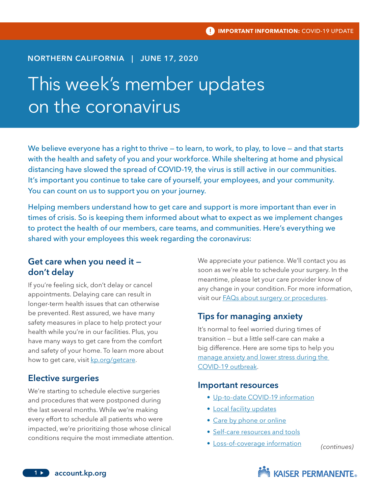### NORTHERN CALIFORNIA | JUNE 17, 2020

# This week's member updates on the coronavirus

We believe everyone has a right to thrive — to learn, to work, to play, to love — and that starts with the health and safety of you and your workforce. While sheltering at home and physical distancing have slowed the spread of COVID-19, the virus is still active in our communities. It's important you continue to take care of yourself, your employees, and your community. You can count on us to support you on your journey.

Helping members understand how to get care and support is more important than ever in times of crisis. So is keeping them informed about what to expect as we implement changes to protect the health of our members, care teams, and communities. Here's everything we shared with your employees this week regarding the coronavirus:

## Get care when you need it don't delay

If you're feeling sick, don't delay or cancel appointments. Delaying care can result in longer-term health issues that can otherwise be prevented. Rest assured, we have many safety measures in place to help protect your health while you're in our facilities. Plus, you have many ways to get care from the comfort and safety of your home. To learn more about how to get care, visit [kp.org/getcare](http://www.kp.org/getcare).

#### Elective surgeries

We're starting to schedule elective surgeries and procedures that were postponed during the last several months. While we're making every effort to schedule all patients who were impacted, we're prioritizing those whose clinical conditions require the most immediate attention. We appreciate your patience. We'll contact you as soon as we're able to schedule your surgery. In the meantime, please let your care provider know of any change in your condition. For more information, visit our [FAQs about surgery or procedures.](https://mydoctor.kaiserpermanente.org/covid-19/faqs-about-surgery-or-procedures-during-covid-19)

#### Tips for managing anxiety

It's normal to feel worried during times of transition — but a little self-care can make a big difference. Here are some tips to help you [manage anxiety and lower stress during the](https://thrive.kaiserpermanente.org/thrive-together/covid-coronavirus/managing-coronavirus-anxiety-stress)  [COVID-19 outbreak.](https://thrive.kaiserpermanente.org/thrive-together/covid-coronavirus/managing-coronavirus-anxiety-stress)

#### Important resources

- [Up-to-date COVID-19 information](http://www.kp.org/coronavirus)
- [Local facility updates](https://thrive.kaiserpermanente.org/care-near-you/northern-california/temporary-updates/)
- [Care by phone or online](http://www.kp.org/getcare)
- [Self-care resources and tools](http://www.kp.org/selfcare)
- [Loss-of-coverage information](https://continuecoverage.kaiserpermanente.org/)

*(continues)*